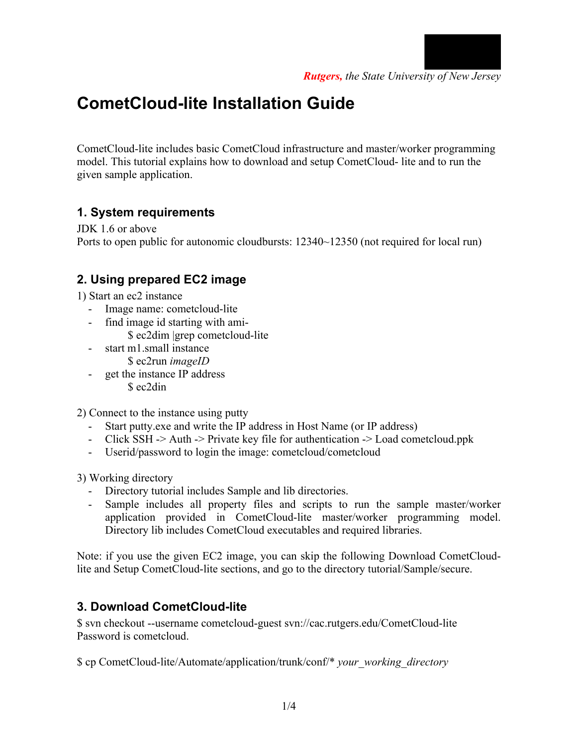

# **CometCloud-lite Installation Guide**

CometCloud-lite includes basic CometCloud infrastructure and master/worker programming model. This tutorial explains how to download and setup CometCloud- lite and to run the given sample application.

## **1. System requirements**

JDK 1.6 or above Ports to open public for autonomic cloudbursts:  $12340~12350$  (not required for local run)

## **2. Using prepared EC2 image**

1) Start an ec2 instance

- Image name: cometcloud-lite
- find image id starting with ami-
	- \$ ec2dim |grep cometcloud-lite
- start m1.small instance \$ ec2run *imageID*
- get the instance IP address \$ ec2din

2) Connect to the instance using putty

- Start putty.exe and write the IP address in Host Name (or IP address)
- Click SSH -> Auth -> Private key file for authentication -> Load cometcloud.ppk
- Userid/password to login the image: cometcloud/cometcloud

3) Working directory

- Directory tutorial includes Sample and lib directories.
- Sample includes all property files and scripts to run the sample master/worker application provided in CometCloud-lite master/worker programming model. Directory lib includes CometCloud executables and required libraries.

Note: if you use the given EC2 image, you can skip the following Download CometCloudlite and Setup CometCloud-lite sections, and go to the directory tutorial/Sample/secure.

### **3. Download CometCloud-lite**

\$ svn checkout --username cometcloud-guest svn://cac.rutgers.edu/CometCloud-lite Password is cometcloud.

\$ cp CometCloud-lite/Automate/application/trunk/conf/\* *your\_working\_directory*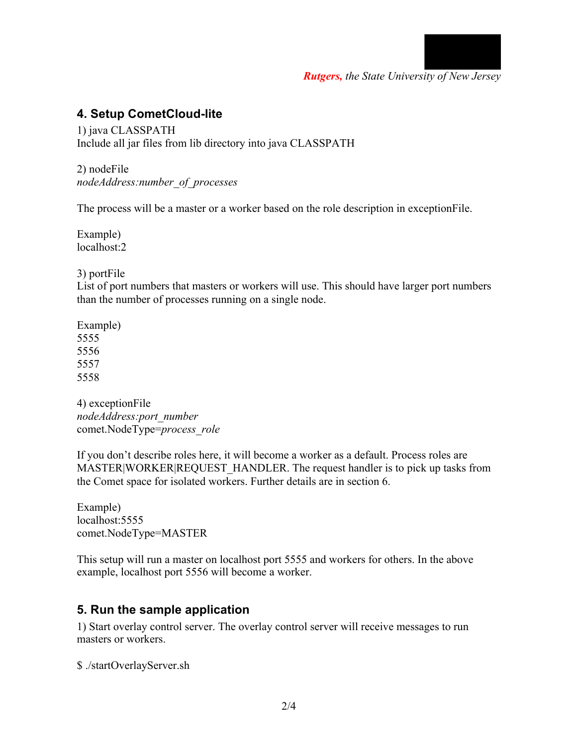

*Rutgers, the State University of New Jersey*

#### **4. Setup CometCloud-lite**

1) java CLASSPATH Include all jar files from lib directory into java CLASSPATH

2) nodeFile *nodeAddress:number\_of\_processes*

The process will be a master or a worker based on the role description in exceptionFile.

Example) localhost:2

3) portFile

List of port numbers that masters or workers will use. This should have larger port numbers than the number of processes running on a single node.

4) exceptionFile *nodeAddress:port\_number* comet.NodeType=*process\_role*

If you don't describe roles here, it will become a worker as a default. Process roles are MASTER|WORKER|REQUEST HANDLER. The request handler is to pick up tasks from the Comet space for isolated workers. Further details are in section 6.

Example) localhost: 5555 comet.NodeType=MASTER

This setup will run a master on localhost port 5555 and workers for others. In the above example, localhost port 5556 will become a worker.

#### **5. Run the sample application**

1) Start overlay control server. The overlay control server will receive messages to run masters or workers.

\$ ./startOverlayServer.sh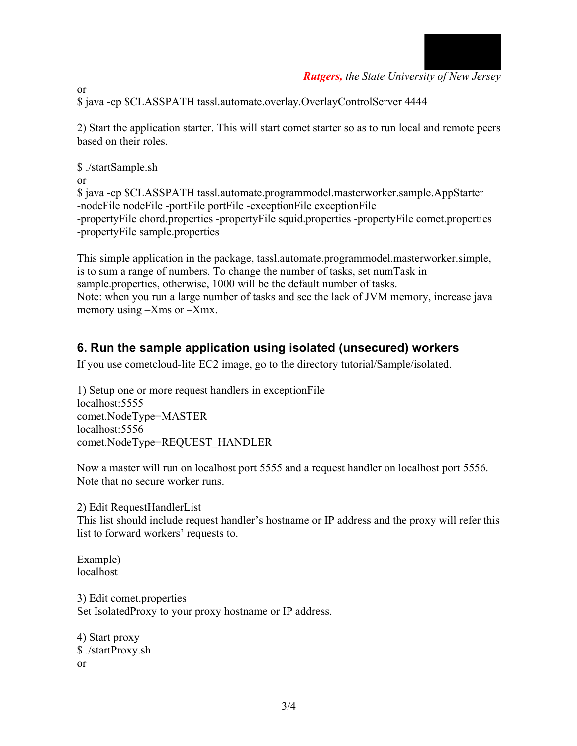

*Rutgers, the State University of New Jersey*

\$ java -cp \$CLASSPATH tassl.automate.overlay.OverlayControlServer 4444

2) Start the application starter. This will start comet starter so as to run local and remote peers based on their roles.

\$ ./startSample.sh or

\$ java -cp \$CLASSPATH tassl.automate.programmodel.masterworker.sample.AppStarter -nodeFile nodeFile -portFile portFile -exceptionFile exceptionFile -propertyFile chord.properties -propertyFile squid.properties -propertyFile comet.properties -propertyFile sample.properties

This simple application in the package, tassl.automate.programmodel.masterworker.simple, is to sum a range of numbers. To change the number of tasks, set numTask in sample.properties, otherwise, 1000 will be the default number of tasks. Note: when you run a large number of tasks and see the lack of JVM memory, increase java memory using –Xms or –Xmx.

## **6. Run the sample application using isolated (unsecured) workers**

If you use cometcloud-lite EC2 image, go to the directory tutorial/Sample/isolated.

1) Setup one or more request handlers in exceptionFile localhost:5555 comet.NodeType=MASTER localhost:5556 comet.NodeType=REQUEST\_HANDLER

Now a master will run on localhost port 5555 and a request handler on localhost port 5556. Note that no secure worker runs.

2) Edit RequestHandlerList

This list should include request handler's hostname or IP address and the proxy will refer this list to forward workers' requests to.

Example) localhost

3) Edit comet.properties Set IsolatedProxy to your proxy hostname or IP address.

4) Start proxy \$ ./startProxy.sh or

or